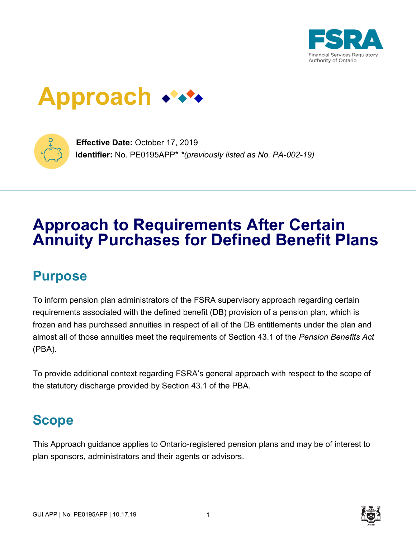

# **Approach**



**Effective Date:** October 17, 2019 **Identifier:** No. PE0195APP\* *\*(previously listed as No. PA-002-19)*

# **Approach to Requirements After Certain Annuity Purchases for Defined Benefit Plans**

### **Purpose**

To inform pension plan administrators of the FSRA supervisory approach regarding certain requirements associated with the defined benefit (DB) provision of a pension plan, which is frozen and has purchased annuities in respect of all of the DB entitlements under the plan and almost all of those annuities meet the requirements of Section 43.1 of the *Pension Benefits Act* (PBA).

To provide additional context regarding FSRA's general approach with respect to the scope of the statutory discharge provided by Section 43.1 of the PBA.

### **Scope**

This Approach guidance applies to Ontario-registered pension plans and may be of interest to plan sponsors, administrators and their agents or advisors.

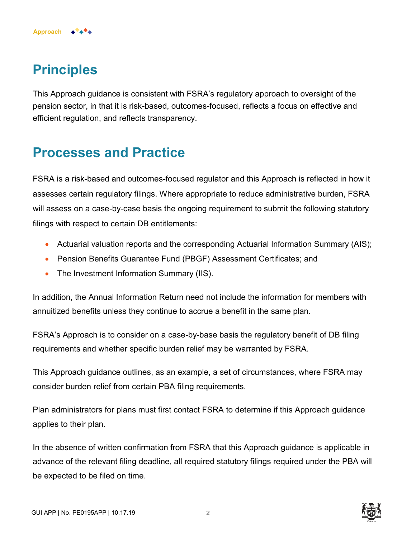

**Approach**

This Approach guidance is consistent with FSRA's regulatory approach to oversight of the pension sector, in that it is risk-based, outcomes-focused, reflects a focus on effective and efficient regulation, and reflects transparency.

#### **Processes and Practice**

FSRA is a risk-based and outcomes-focused regulator and this Approach is reflected in how it assesses certain regulatory filings. Where appropriate to reduce administrative burden, FSRA will assess on a case-by-case basis the ongoing requirement to submit the following statutory filings with respect to certain DB entitlements:

- Actuarial valuation reports and the corresponding Actuarial Information Summary (AIS);
- Pension Benefits Guarantee Fund (PBGF) Assessment Certificates; and
- The Investment Information Summary (IIS).

In addition, the Annual Information Return need not include the information for members with annuitized benefits unless they continue to accrue a benefit in the same plan.

FSRA's Approach is to consider on a case-by-base basis the regulatory benefit of DB filing requirements and whether specific burden relief may be warranted by FSRA.

This Approach guidance outlines, as an example, a set of circumstances, where FSRA may consider burden relief from certain PBA filing requirements.

Plan administrators for plans must first contact FSRA to determine if this Approach guidance applies to their plan.

In the absence of written confirmation from FSRA that this Approach guidance is applicable in advance of the relevant filing deadline, all required statutory filings required under the PBA will be expected to be filed on time.